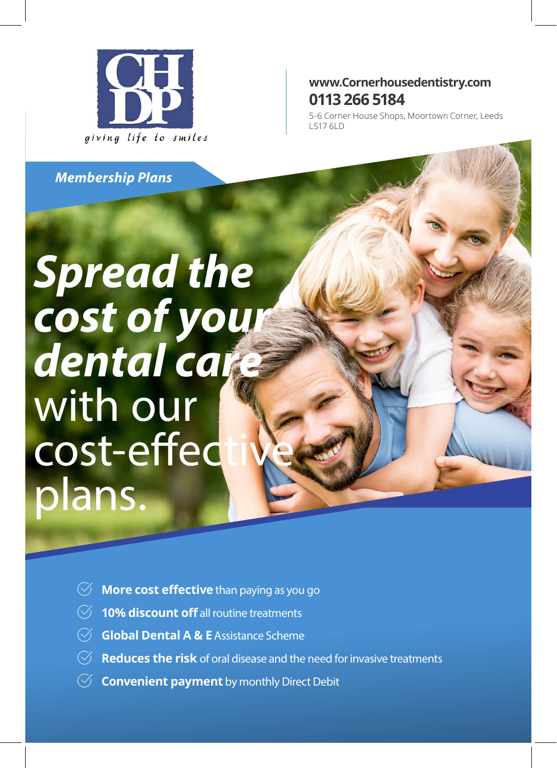

#### **www.Cornerhousedentistry.com 0113 266 5184**

5-6 Corner House Shops, Moortown Corner, Leeds LS17 6LD

*Membership Plans*

# *Spread the cost of your dental care* with our cost-effed plans.

- **More cost effective** than paying as you go
- **10% discount off** all routine treatments
- **Global Dental A & E** Assistance Scheme
- **Reduces the risk** of oral disease and the need for invasive treatments
- **Convenient payment** by monthly Direct Debit